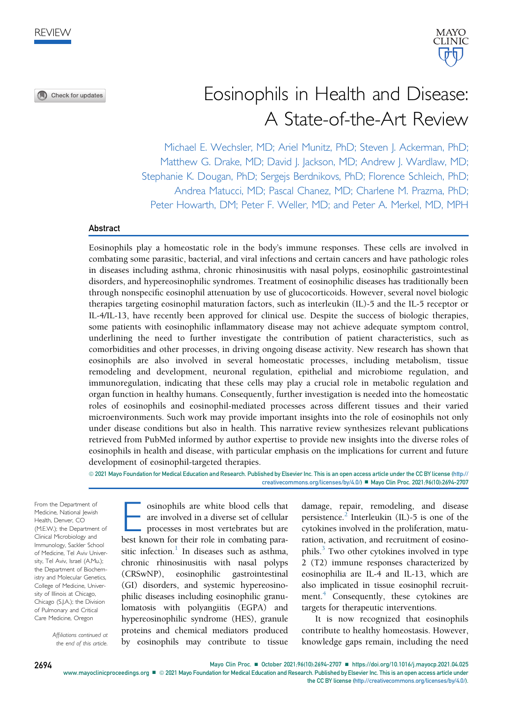Check for updates



# Eosinophils in Health and Disease: A State-of-the-Art Review

Michael E. Wechsler, MD; Ariel Munitz, PhD; Steven J. Ackerman, PhD; Matthew G. Drake, MD; David J. Jackson, MD; Andrew J. Wardlaw, MD; Stephanie K. Dougan, PhD; Sergejs Berdnikovs, PhD; Florence Schleich, PhD; Andrea Matucci, MD; Pascal Chanez, MD; Charlene M. Prazma, PhD; Peter Howarth, DM; Peter F. Weller, MD; and Peter A. Merkel, MD, MPH

### Abstract

Eosinophils play a homeostatic role in the body's immune responses. These cells are involved in combating some parasitic, bacterial, and viral infections and certain cancers and have pathologic roles in diseases including asthma, chronic rhinosinusitis with nasal polyps, eosinophilic gastrointestinal disorders, and hypereosinophilic syndromes. Treatment of eosinophilic diseases has traditionally been through nonspecific eosinophil attenuation by use of glucocorticoids. However, several novel biologic therapies targeting eosinophil maturation factors, such as interleukin (IL)-5 and the IL-5 receptor or IL-4/IL-13, have recently been approved for clinical use. Despite the success of biologic therapies, some patients with eosinophilic inflammatory disease may not achieve adequate symptom control, underlining the need to further investigate the contribution of patient characteristics, such as comorbidities and other processes, in driving ongoing disease activity. New research has shown that eosinophils are also involved in several homeostatic processes, including metabolism, tissue remodeling and development, neuronal regulation, epithelial and microbiome regulation, and immunoregulation, indicating that these cells may play a crucial role in metabolic regulation and organ function in healthy humans. Consequently, further investigation is needed into the homeostatic roles of eosinophils and eosinophil-mediated processes across different tissues and their varied microenvironments. Such work may provide important insights into the role of eosinophils not only under disease conditions but also in health. This narrative review synthesizes relevant publications retrieved from PubMed informed by author expertise to provide new insights into the diverse roles of eosinophils in health and disease, with particular emphasis on the implications for current and future development of eosinophil-targeted therapies.

ª 2021 Mayo Foundation for Medical Education and Research. Published by Elsevier Inc. This is an open access article under the CC BY license [\(http://](http://creativecommons.org/licenses/by/4.0/) [creativecommons.org/licenses/by/4.0/](http://creativecommons.org/licenses/by/4.0/)) ■ Mayo Clin Proc. 2021;96(10):2694-2707

From the Department of Medicine, National Jewish Health, Denver, CO (M.E.W.); the Department of Clinical Microbiology and Immunology, Sackler School of Medicine, Tel Aviv University, Tel Aviv, Israel (A.Mu.); the Department of Biochemistry and Molecular Genetics, College of Medicine, University of Illinois at Chicago, Chicago (S.J.A.); the Division of Pulmonary and Critical Care Medicine, Oregon

> Affiliations continued at the end of this article.

osinophils are white blood cells that are involved in a diverse set of cellular processes in most vertebrates but are best known for their role in combating parasitic infection.<sup>1</sup> In diseases such as asthma, chronic rhinosinusitis with nasal polyps (CRSwNP), eosinophilic gastrointestinal (GI) disorders, and systemic hypereosinophilic diseases including eosinophilic granulomatosis with polyangiitis (EGPA) and hypereosinophilic syndrome (HES), granule proteins and chemical mediators produced by eosinophils may contribute to tissue damage, repair, remodeling, and disease persistence.<sup>2</sup> Interleukin (IL)-5 is one of the cytokines involved in the proliferation, maturation, activation, and recruitment of eosinophils.<sup>3</sup> Two other cytokines involved in type 2 (T2) immune responses characterized by eosinophilia are IL-4 and IL-13, which are also implicated in tissue eosinophil recruit-ment.<sup>[4](#page-11-3)</sup> Consequently, these cytokines are targets for therapeutic interventions.

It is now recognized that eosinophils contribute to healthy homeostasis. However, knowledge gaps remain, including the need

2694 Mayo Clin Proc. ■ October 2021;96(10):2694-2707 ■ <https://doi.org/10.1016/j.mayocp.2021.04.025>

[www.mayoclinicproceedings.org](http://www.mayoclinicproceedings.org)  $\blacksquare$  2021 Mayo Foundation for Medical Education and Research. Published by Elsevier Inc. This is an open access article under the CC BY license ([http://creativecommons.org/licenses/by/4.0/\)](http://creativecommons.org/licenses/by/4.0/).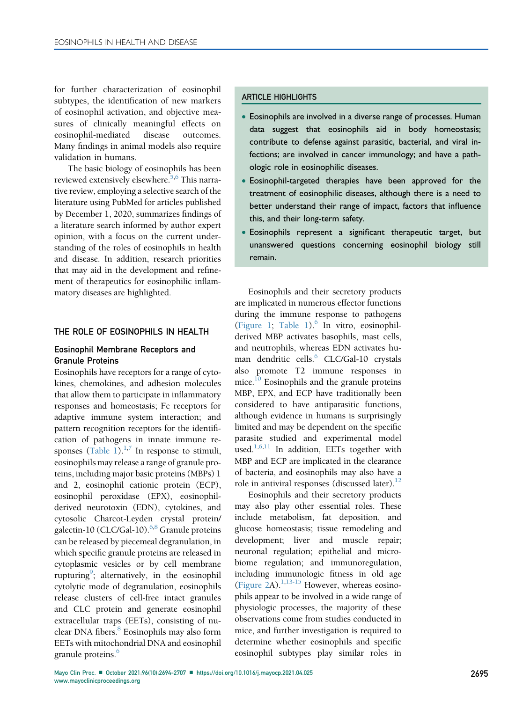for further characterization of eosinophil subtypes, the identification of new markers of eosinophil activation, and objective measures of clinically meaningful effects on eosinophil-mediated disease outcomes. Many findings in animal models also require validation in humans.

The basic biology of eosinophils has been reviewed extensively elsewhere.<sup>5,[6](#page-11-5)</sup> This narrative review, employing a selective search of the literature using PubMed for articles published by December 1, 2020, summarizes findings of a literature search informed by author expert opinion, with a focus on the current understanding of the roles of eosinophils in health and disease. In addition, research priorities that may aid in the development and refinement of therapeutics for eosinophilic inflammatory diseases are highlighted.

## THE ROLE OF EOSINOPHILS IN HEALTH

# Eosinophil Membrane Receptors and Granule Proteins

Eosinophils have receptors for a range of cytokines, chemokines, and adhesion molecules that allow them to participate in inflammatory responses and homeostasis; Fc receptors for adaptive immune system interaction; and pattern recognition receptors for the identification of pathogens in innate immune re-sponses ([Table 1\)](#page-2-0).<sup>1,[7](#page-11-6)</sup> In response to stimuli, eosinophils may release a range of granule proteins, including major basic proteins (MBPs) 1 and 2, eosinophil cationic protein (ECP), eosinophil peroxidase (EPX), eosinophilderived neurotoxin (EDN), cytokines, and cytosolic Charcot-Leyden crystal protein/ galectin-10 (CLC/Gal-10).<sup>[6](#page-11-5)[,8](#page-11-7)</sup> Granule proteins can be released by piecemeal degranulation, in which specific granule proteins are released in cytoplasmic vesicles or by cell membrane rupturing<sup>[9](#page-11-8)</sup>; alternatively, in the eosinophil cytolytic mode of degranulation, eosinophils release clusters of cell-free intact granules and CLC protein and generate eosinophil extracellular traps (EETs), consisting of nuclear DNA fibers.<sup>8</sup> Eosinophils may also form EETs with mitochondrial DNA and eosinophil granule proteins.<sup>6</sup>

# ARTICLE HIGHLIGHTS

- Eosinophils are involved in a diverse range of processes. Human data suggest that eosinophils aid in body homeostasis; contribute to defense against parasitic, bacterial, and viral infections; are involved in cancer immunology; and have a pathologic role in eosinophilic diseases.
- Eosinophil-targeted therapies have been approved for the treatment of eosinophilic diseases, although there is a need to better understand their range of impact, factors that influence this, and their long-term safety.
- Eosinophils represent a significant therapeutic target, but unanswered questions concerning eosinophil biology still remain.

Eosinophils and their secretory products are implicated in numerous effector functions during the immune response to pathogens [\(Figure 1](#page-3-0); [Table 1](#page-2-0)). $^{6}$  In vitro, eosinophilderived MBP activates basophils, mast cells, and neutrophils, whereas EDN activates human dendritic cells.<sup>6</sup> CLC/Gal-10 crystals also promote T2 immune responses in mice. $^{10}$  Eosinophils and the granule proteins MBP, EPX, and ECP have traditionally been considered to have antiparasitic functions, although evidence in humans is surprisingly limited and may be dependent on the specific parasite studied and experimental model used.<sup>[1](#page-11-0)[,6,](#page-11-5)[11](#page-11-10)</sup> In addition, EETs together with MBP and ECP are implicated in the clearance of bacteria, and eosinophils may also have a role in antiviral responses (discussed later). $^{12}$  $^{12}$  $^{12}$ 

Eosinophils and their secretory products may also play other essential roles. These include metabolism, fat deposition, and glucose homeostasis; tissue remodeling and development; liver and muscle repair; neuronal regulation; epithelial and microbiome regulation; and immunoregulation, including immunologic fitness in old age [\(Figure 2A](#page-4-0)).<sup>1,[13-15](#page-11-12)</sup> However, whereas eosinophils appear to be involved in a wide range of physiologic processes, the majority of these observations come from studies conducted in mice, and further investigation is required to determine whether eosinophils and specific eosinophil subtypes play similar roles in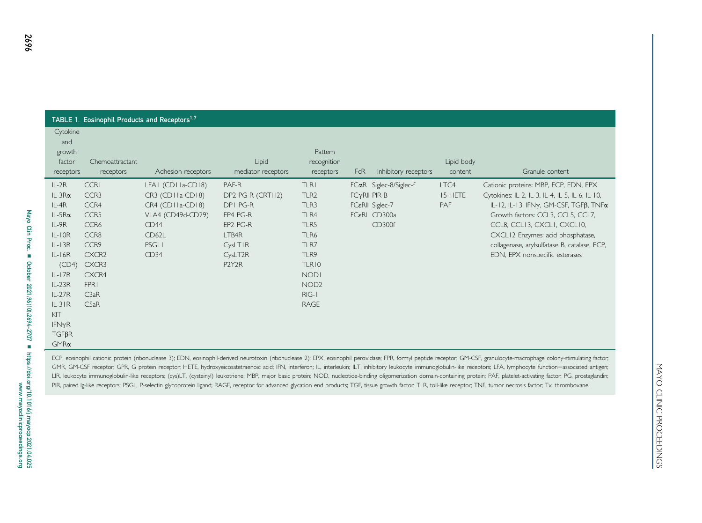| TABLE 1. Eosinophil Products and Receptors <sup>1.7</sup> |                 |                    |                     |                  |            |                        |            |                                                 |  |  |
|-----------------------------------------------------------|-----------------|--------------------|---------------------|------------------|------------|------------------------|------------|-------------------------------------------------|--|--|
| Cytokine                                                  |                 |                    |                     |                  |            |                        |            |                                                 |  |  |
| and<br>growth                                             |                 |                    |                     | Pattern          |            |                        |            |                                                 |  |  |
| factor                                                    | Chemoattractant |                    | Lipid               | recognition      |            |                        | Lipid body |                                                 |  |  |
| receptors                                                 | receptors       | Adhesion receptors | mediator receptors  | receptors        | <b>FcR</b> | Inhibitory receptors   | content    | Granule content                                 |  |  |
| $IL-2R$                                                   | <b>CCRI</b>     | LFAI (CDIIa-CDI8)  | PAF-R               | <b>TLRI</b>      |            | FCaR Siglec-8/Siglec-f | LTC4       | Cationic proteins: MBP, ECP, EDN, EPX           |  |  |
| $IL-3R\alpha$                                             | CCR3            | CR3 (CDIIa-CDI8)   | DP2 PG-R (CRTH2)    | TLR <sub>2</sub> |            | $FCYRII$ PIR-B         | 15-HFTF    | Cytokines: IL-2, IL-3, IL-4, IL-5, IL-6, IL-10, |  |  |
| $IL-4R$                                                   | CCR4            | $CR4$ (CDIIa-CDI8) | DPI PG-R            | TLR3             |            | FC&RII Siglec-7        | PAF        | IL-12, IL-13, IFN $\gamma$ , GM-CSF, TGFB, TNFa |  |  |
| $IL-5R\alpha$                                             | CCR5            | VLA4 (CD49d-CD29)  | EP4 PG-R            | TLR4             |            | FC&RI CD300a           |            | Growth factors: CCL3, CCL5, CCL7,               |  |  |
| $IL-9R$                                                   | CCR6            | CD <sub>44</sub>   | EP2 PG-R            | TLR5             |            | CD300f                 |            | CCL8, CCLI3, CXCLI, CXCLI0,                     |  |  |
| $IL-IOR$                                                  | CCR8            | CD62L              | LTB4R               | TLR6             |            |                        |            | CXCL12 Enzymes: acid phosphatase,               |  |  |
| $IL-I3R$                                                  | CCR9            | <b>PSGLI</b>       | CysLTIR             | TLR7             |            |                        |            | collagenase, arylsulfatase B, catalase, ECP,    |  |  |
| $IL-I6R$                                                  | CXCR2           | CD34               | CysLT <sub>2R</sub> | TLR9             |            |                        |            | EDN, EPX nonspecific esterases                  |  |  |
| (CD4)                                                     | CXCR3           |                    | P2Y2R               | TLR10            |            |                        |            |                                                 |  |  |
| $IL-I7R$                                                  | CXCR4           |                    |                     | <b>NODI</b>      |            |                        |            |                                                 |  |  |
| $IL-23R$                                                  | <b>FPR1</b>     |                    |                     | NOD <sub>2</sub> |            |                        |            |                                                 |  |  |
| $IL-27R$                                                  | C3aR            |                    |                     | $RIG-I$          |            |                        |            |                                                 |  |  |
| $IL-3IR$                                                  | C5aR            |                    |                     | <b>RAGE</b>      |            |                        |            |                                                 |  |  |
| KIT                                                       |                 |                    |                     |                  |            |                        |            |                                                 |  |  |
| IFN <sub>Y</sub> R                                        |                 |                    |                     |                  |            |                        |            |                                                 |  |  |
| $TGF\beta R$                                              |                 |                    |                     |                  |            |                        |            |                                                 |  |  |
| GMRa                                                      |                 |                    |                     |                  |            |                        |            |                                                 |  |  |
|                                                           |                 |                    |                     |                  |            |                        |            |                                                 |  |  |

<span id="page-2-0"></span>

ECP, eosinophil cationic protein (ribonuclease 3); EDN, eosinophil-derived neurotoxin (ribonuclease 2); EPX, eosinophil peroxidase; FPR, formyl peptide receptor; GM-CSF, granulocyte-macrophage colony-stimulating factor; GMR, GM-CSF receptor; GPR, G protein receptor; HETE, hydroxyeicosatetraenoic acid; IFN, interferon; IL, interleukin; ILT, inhibitory leukocyte immunoglobulin-like receptors; LFA, lymphocyte function-associated antigen; LIR, leukocyte immunoglobulin-like receptors; (cys)LT, (cysteinyl) leukotriene; MBP, major basic protein; NOD, nucleotide-binding oligomerization domain-containing protein; PAF, platelet-activating factor; PG, prostaglandi PIR, paired Ig-like receptors; PSGL, P-selectin glycoprotein ligand; RAGE, receptor for advanced glycation end products; TGF, tissue growth factor; TLR, toll-like receptor; TNF, tumor necrosis factor; Tx, thromboxane.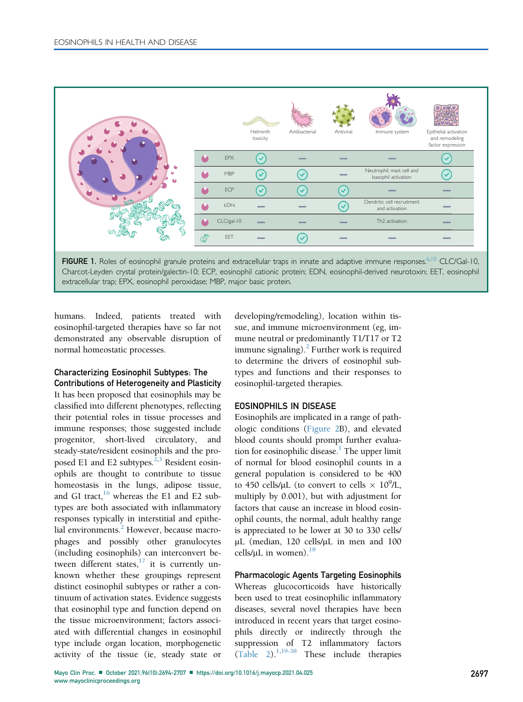<span id="page-3-0"></span>



humans. Indeed, patients treated with eosinophil-targeted therapies have so far not demonstrated any observable disruption of normal homeostatic processes.

## Characterizing Eosinophil Subtypes: The Contributions of Heterogeneity and Plasticity

It has been proposed that eosinophils may be classified into different phenotypes, reflecting their potential roles in tissue processes and immune responses; those suggested include progenitor, short-lived circulatory, and steady-state/resident eosinophils and the proposed E1 and E2 subtypes. $2,3$  $2,3$  Resident eosinophils are thought to contribute to tissue homeostasis in the lungs, adipose tissue, and GI tract, $16$  whereas the E1 and E2 subtypes are both associated with inflammatory responses typically in interstitial and epithe-lial environments.<sup>[2](#page-11-1)</sup> However, because macrophages and possibly other granulocytes (including eosinophils) can interconvert between different states, $17$  it is currently unknown whether these groupings represent distinct eosinophil subtypes or rather a continuum of activation states. Evidence suggests that eosinophil type and function depend on the tissue microenvironment; factors associated with differential changes in eosinophil type include organ location, morphogenetic activity of the tissue (ie, steady state or

developing/remodeling), location within tissue, and immune microenvironment (eg, immune neutral or predominantly T1/T17 or T2 immune signaling). $^2$  Further work is required to determine the drivers of eosinophil subtypes and functions and their responses to eosinophil-targeted therapies.

## EOSINOPHILS IN DISEASE

Eosinophils are implicated in a range of pathologic conditions [\(Figure 2B](#page-4-0)), and elevated blood counts should prompt further evaluation for eosinophilic disease.<sup>1</sup> The upper limit of normal for blood eosinophil counts in a general population is considered to be 400 to 450 cells/ $\mu$ L (to convert to cells  $\times$  10<sup>9</sup>/L,<br>multiply by 0.001), but with adjustment for multiply by 0.001), but with adjustment for factors that cause an increase in blood eosinophil counts, the normal, adult healthy range is appreciated to be lower at 30 to 330 cells/ µL (median, 120 cells/µL in men and 100 cells/ $\mu$ L in women).<sup>18</sup>

Pharmacologic Agents Targeting Eosinophils Whereas glucocorticoids have historically been used to treat eosinophilic inflammatory diseases, several novel therapies have been introduced in recent years that target eosinophils directly or indirectly through the suppression of T2 inflammatory factors  $(Table 2)$ <sup>1,[19-38](#page-11-18)</sup> These include therapies</sup>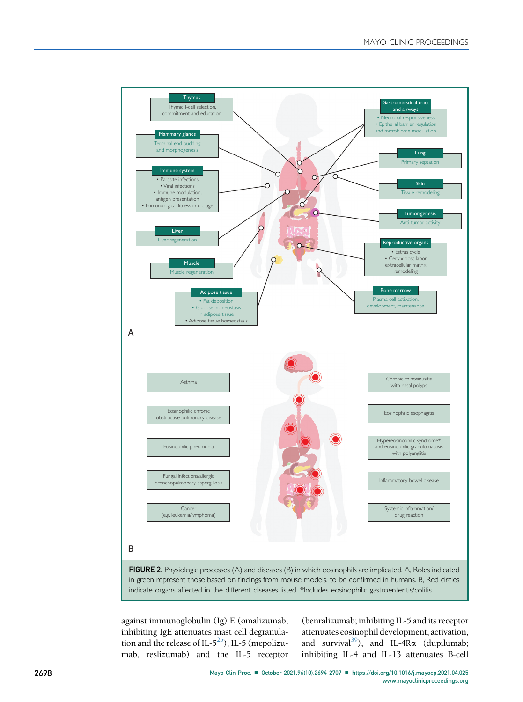<span id="page-4-0"></span>

against immunoglobulin (Ig) E (omalizumab; inhibiting IgE attenuates mast cell degranulation and the release of IL- $5^{25}$  $5^{25}$  $5^{25}$ ), IL-5 (mepolizumab, reslizumab) and the IL-5 receptor

(benralizumab; inhibiting IL-5 and its receptor attenuates eosinophil development, activation, and survival<sup>[39](#page-12-0)</sup>), and IL-4R $\alpha$  (dupilumab; inhibiting IL-4 and IL-13 attenuates B-cell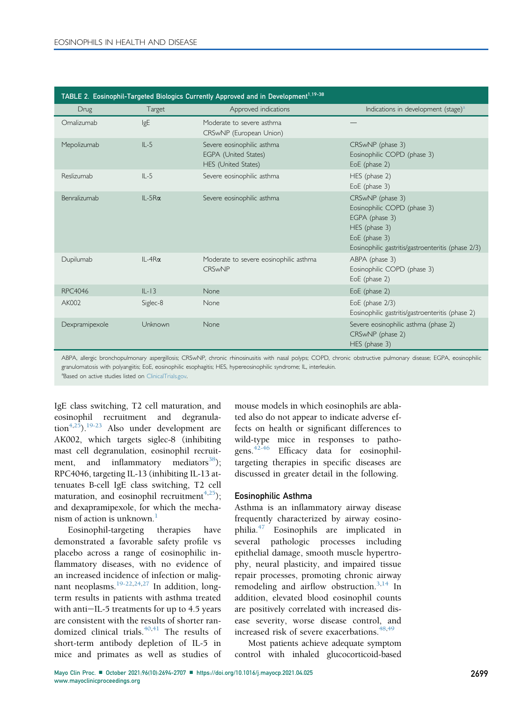<span id="page-5-0"></span>

| TABLE 2. Eosinophil-Targeted Biologics Currently Approved and in Development <sup>1.19-38</sup> |                 |                                                                           |                                                                                                                                                           |  |  |  |  |  |  |
|-------------------------------------------------------------------------------------------------|-----------------|---------------------------------------------------------------------------|-----------------------------------------------------------------------------------------------------------------------------------------------------------|--|--|--|--|--|--|
| <b>Drug</b>                                                                                     | Target          | Approved indications                                                      | Indications in development (stage) <sup>a</sup>                                                                                                           |  |  |  |  |  |  |
| Omalizumab                                                                                      | IgE             | Moderate to severe asthma.<br>CRSwNP (European Union)                     |                                                                                                                                                           |  |  |  |  |  |  |
| Mepolizumab                                                                                     | $II - 5$        | Severe eosinophilic asthma<br>EGPA (United States)<br>HES (United States) | CRSwNP (phase 3)<br>Eosinophilic COPD (phase 3)<br>EoE (phase 2)                                                                                          |  |  |  |  |  |  |
| Reslizumab                                                                                      | $II - 5$        | Severe eosinophilic asthma                                                | HES (phase 2)<br>EoE (phase 3)                                                                                                                            |  |  |  |  |  |  |
| Benralizumab                                                                                    | $IL-5R\alpha$   | Severe eosinophilic asthma                                                | CRSwNP (phase 3)<br>Eosinophilic COPD (phase 3)<br>EGPA (phase 3)<br>HES (phase 3)<br>EoE (phase 3)<br>Eosinophilic gastritis/gastroenteritis (phase 2/3) |  |  |  |  |  |  |
| Dupilumab                                                                                       | $II - 4R\alpha$ | Moderate to severe eosinophilic asthma<br><b>CRSwNP</b>                   | ABPA (phase 3)<br>Eosinophilic COPD (phase 3)<br>EoE (phase 2)                                                                                            |  |  |  |  |  |  |
| <b>RPC4046</b>                                                                                  | $IL-I3$         | <b>None</b>                                                               | EoE (phase 2)                                                                                                                                             |  |  |  |  |  |  |
| AK002                                                                                           | Siglec-8        | None                                                                      | EoE (phase 2/3)<br>Eosinophilic gastritis/gastroenteritis (phase 2)                                                                                       |  |  |  |  |  |  |
| Dexpramipexole                                                                                  | Unknown         | <b>None</b>                                                               | Severe eosinophilic asthma (phase 2)<br>CRSwNP (phase 2)<br>HES (phase 3)                                                                                 |  |  |  |  |  |  |

ABPA, allergic bronchopulmonary aspergillosis; CRSwNP, chronic rhinosinusitis with nasal polyps; COPD, chronic obstructive pulmonary disease; EGPA, eosinophilic granulomatosis with polyangiitis; EoE, eosinophilic esophagitis; HES, hypereosinophilic syndrome; IL, interleukin.

<span id="page-5-1"></span><sup>a</sup>Based on active studies listed on [ClinicalTrials.gov.](http://ClinicalTrials.gov)

IgE class switching, T2 cell maturation, and eosinophil recruitment and degranulation<sup>4,25</sup>).<sup>19-23</sup> Also under development are AK002, which targets siglec-8 (inhibiting mast cell degranulation, eosinophil recruitment, and inflammatory mediators $38$ ); RPC4046, targeting IL-13 (inhibiting IL-13 attenuates B-cell IgE class switching, T2 cell maturation, and eosinophil recruitment<sup>4,[25](#page-11-19)</sup>); and dexapramipexole, for which the mechanism of action is unknown.<sup>1</sup>

Eosinophil-targeting therapies have demonstrated a favorable safety profile vs placebo across a range of eosinophilic inflammatory diseases, with no evidence of an increased incidence of infection or malig-nant neoplasms.<sup>[19-22,](#page-11-18)[24](#page-11-20)[,27](#page-11-21)</sup> In addition, longterm results in patients with asthma treated with anti-IL-5 treatments for up to 4.5 years are consistent with the results of shorter randomized clinical trials. $40,41$  $40,41$  The results of short-term antibody depletion of IL-5 in mice and primates as well as studies of

mouse models in which eosinophils are ablated also do not appear to indicate adverse effects on health or significant differences to wild-type mice in responses to patho-gens.<sup>[42-46](#page-12-4)</sup> Efficacy data for eosinophiltargeting therapies in specific diseases are discussed in greater detail in the following.

#### Eosinophilic Asthma

Asthma is an inflammatory airway disease frequently characterized by airway eosino-philia.<sup>[47](#page-12-5)</sup> Eosinophils are implicated in several pathologic processes including epithelial damage, smooth muscle hypertrophy, neural plasticity, and impaired tissue repair processes, promoting chronic airway remodeling and airflow obstruction.<sup>[3](#page-11-2)[,14](#page-11-22)</sup> In addition, elevated blood eosinophil counts are positively correlated with increased disease severity, worse disease control, and increased risk of severe exacerbations.<sup>[48](#page-12-6)[,49](#page-12-7)</sup>

Most patients achieve adequate symptom control with inhaled glucocorticoid-based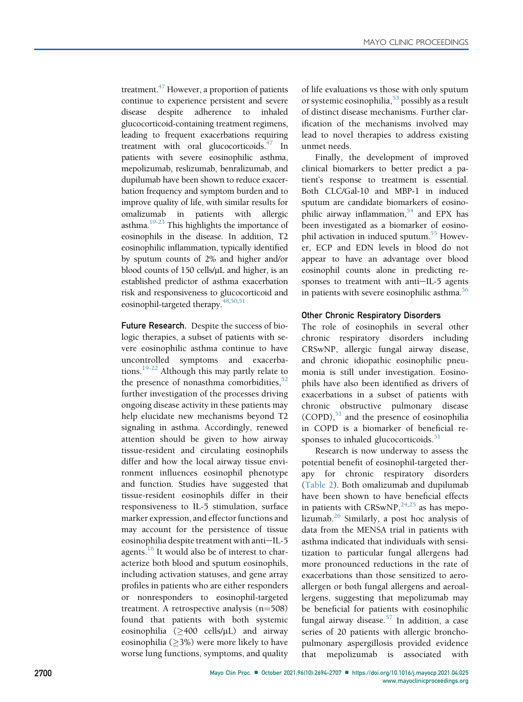treatment.<sup>47</sup> However, a proportion of patients continue to experience persistent and severe disease despite adherence to inhaled glucocorticoid-containing treatment regimens, leading to frequent exacerbations requiring treatment with oral glucocorticoids.<sup>47</sup> In patients with severe eosinophilic asthma, mepolizumab, reslizumab, benralizumab, and dupilumab have been shown to reduce exacerbation frequency and symptom burden and to improve quality of life, with similar results for omalizumab in patients with allergic asthma.<sup>19-23</sup> This highlights the importance of eosinophils in the disease. In addition, T2 eosinophilic inflammation, typically identified by sputum counts of 2% and higher and/or blood counts of 150 cells/µL and higher, is an established predictor of asthma exacerbation risk and responsiveness to glucocorticoid and eosinophil-targeted therapy. $48,50,51$  $48,50,51$  $48,50,51$ 

Future Research. Despite the success of biologic therapies, a subset of patients with severe eosinophilic asthma continue to have uncontrolled symptoms and exacerbations.[19-22](#page-11-18) Although this may partly relate to the presence of nonasthma comorbidities, $52$ further investigation of the processes driving ongoing disease activity in these patients may help elucidate new mechanisms beyond T2 signaling in asthma. Accordingly, renewed attention should be given to how airway tissue-resident and circulating eosinophils differ and how the local airway tissue environment influences eosinophil phenotype and function. Studies have suggested that tissue-resident eosinophils differ in their responsiveness to IL-5 stimulation, surface marker expression, and effector functions and may account for the persistence of tissue eosinophilia despite treatment with anti-IL-5 agents. $^{16}$  $^{16}$  $^{16}$  It would also be of interest to characterize both blood and sputum eosinophils, including activation statuses, and gene array profiles in patients who are either responders or nonresponders to eosinophil-targeted treatment. A retrospective analysis  $(n=508)$ found that patients with both systemic eosinophilia  $(>400 \text{ cells/µL})$  and airway eosinophilia ( $\geq$ 3%) were more likely to have worse lung functions, symptoms, and quality of life evaluations vs those with only sputum or systemic eosinophilia,  $53$  possibly as a result of distinct disease mechanisms. Further clarification of the mechanisms involved may lead to novel therapies to address existing unmet needs.

Finally, the development of improved clinical biomarkers to better predict a patient's response to treatment is essential. Both CLC/Gal-10 and MBP-1 in induced sputum are candidate biomarkers of eosinophilic airway inflammation,<sup>54</sup> and EPX has been investigated as a biomarker of eosinophil activation in induced sputum.<sup>55</sup> However, ECP and EDN levels in blood do not appear to have an advantage over blood eosinophil counts alone in predicting responses to treatment with anti-IL-5 agents in patients with severe eosinophilic asthma.<sup>[56](#page-12-14)</sup>

#### Other Chronic Respiratory Disorders

The role of eosinophils in several other chronic respiratory disorders including CRSwNP, allergic fungal airway disease, and chronic idiopathic eosinophilic pneumonia is still under investigation. Eosinophils have also been identified as drivers of exacerbations in a subset of patients with chronic obstructive pulmonary disease  $(COPD)$ ,<sup>[51](#page-12-9)</sup> and the presence of eosinophilia in COPD is a biomarker of beneficial responses to inhaled glucocorticoids. $51$ 

Research is now underway to assess the potential benefit of eosinophil-targeted therapy for chronic respiratory disorders [\(Table 2](#page-5-0)). Both omalizumab and dupilumab have been shown to have beneficial effects in patients with CRSwNP, $^{24,25}$  $^{24,25}$  $^{24,25}$  $^{24,25}$  as has mepolizumab. $^{26}$  $^{26}$  $^{26}$  Similarly, a post hoc analysis of data from the MENSA trial in patients with asthma indicated that individuals with sensitization to particular fungal allergens had more pronounced reductions in the rate of exacerbations than those sensitized to aeroallergen or both fungal allergens and aeroallergens, suggesting that mepolizumab may be beneficial for patients with eosinophilic fungal airway disease.<sup>[57](#page-12-15)</sup> In addition, a case series of 20 patients with allergic bronchopulmonary aspergillosis provided evidence that mepolizumab is associated with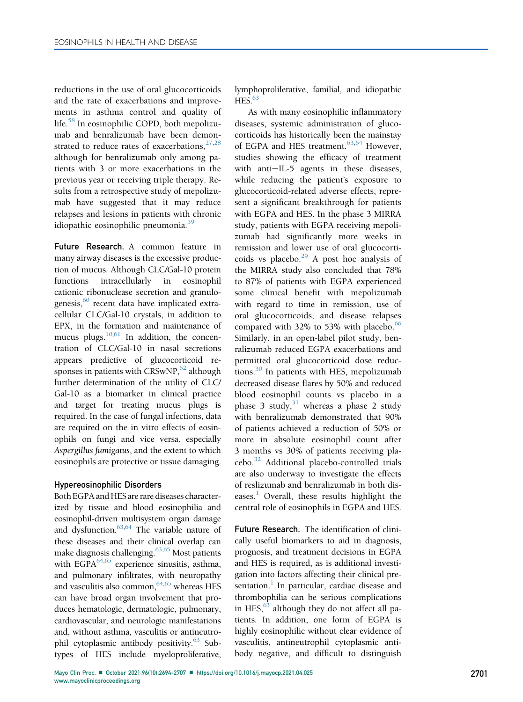reductions in the use of oral glucocorticoids and the rate of exacerbations and improvements in asthma control and quality of life.[58](#page-12-16) In eosinophilic COPD, both mepolizumab and benralizumab have been demonstrated to reduce rates of exacerbations, $27,28$  $27,28$  $27,28$ although for benralizumab only among patients with 3 or more exacerbations in the previous year or receiving triple therapy. Results from a retrospective study of mepolizumab have suggested that it may reduce relapses and lesions in patients with chronic idiopathic eosinophilic pneumonia. $59$ 

Future Research. A common feature in many airway diseases is the excessive production of mucus. Although CLC/Gal-10 protein functions intracellularly in eosinophil cationic ribonuclease secretion and granulogenesis, $60$  recent data have implicated extracellular CLC/Gal-10 crystals, in addition to EPX, in the formation and maintenance of mucus plugs. $10,61$  $10,61$  In addition, the concentration of CLC/Gal-10 in nasal secretions appears predictive of glucocorticoid responses in patients with CRSwNP, $62$  although further determination of the utility of CLC/ Gal-10 as a biomarker in clinical practice and target for treating mucus plugs is required. In the case of fungal infections, data are required on the in vitro effects of eosinophils on fungi and vice versa, especially Aspergillus fumigatus, and the extent to which eosinophils are protective or tissue damaging.

## Hypereosinophilic Disorders

Both EGPA and HES are rare diseases characterized by tissue and blood eosinophilia and eosinophil-driven multisystem organ damage and dysfunction.<sup>[63,](#page-12-21)[64](#page-12-22)</sup> The variable nature of these diseases and their clinical overlap can make diagnosis challenging.<sup>63[,65](#page-12-23)</sup> Most patients with EGPA $^{64,65}$  $^{64,65}$  $^{64,65}$  experience sinusitis, asthma, and pulmonary infiltrates, with neuropathy and vasculitis also common,  $64,65$  $64,65$  whereas HES can have broad organ involvement that produces hematologic, dermatologic, pulmonary, cardiovascular, and neurologic manifestations and, without asthma, vasculitis or antineutro-phil cytoplasmic antibody positivity.<sup>[63](#page-12-21)</sup> Subtypes of HES include myeloproliferative,

lymphoproliferative, familial, and idiopathic  $HES.<sup>63</sup>$ 

As with many eosinophilic inflammatory diseases, systemic administration of glucocorticoids has historically been the mainstay of EGPA and HES treatment.<sup>[63,](#page-12-21)[64](#page-12-22)</sup> However, studies showing the efficacy of treatment with anti-IL-5 agents in these diseases, while reducing the patient's exposure to glucocorticoid-related adverse effects, represent a significant breakthrough for patients with EGPA and HES. In the phase 3 MIRRA study, patients with EGPA receiving mepolizumab had significantly more weeks in remission and lower use of oral glucocorticoids vs placebo. $^{29}$  $^{29}$  $^{29}$  A post hoc analysis of the MIRRA study also concluded that 78% to 87% of patients with EGPA experienced some clinical benefit with mepolizumab with regard to time in remission, use of oral glucocorticoids, and disease relapses compared with 32% to 53% with placebo. $66$ Similarly, in an open-label pilot study, benralizumab reduced EGPA exacerbations and permitted oral glucocorticoid dose reductions. $30$  In patients with HES, mepolizumab decreased disease flares by 50% and reduced blood eosinophil counts vs placebo in a phase 3 study, $31$  whereas a phase 2 study with benralizumab demonstrated that 90% of patients achieved a reduction of 50% or more in absolute eosinophil count after 3 months vs 30% of patients receiving placebo.[32](#page-11-28) Additional placebo-controlled trials are also underway to investigate the effects of reslizumab and benralizumab in both dis-eases.<sup>[1](#page-11-0)</sup> Overall, these results highlight the central role of eosinophils in EGPA and HES.

Future Research. The identification of clinically useful biomarkers to aid in diagnosis, prognosis, and treatment decisions in EGPA and HES is required, as is additional investigation into factors affecting their clinical presentation. $<sup>1</sup>$  $<sup>1</sup>$  $<sup>1</sup>$  In particular, cardiac disease and</sup> thrombophilia can be serious complications in HES,<sup>[63](#page-12-21)</sup> although they do not affect all patients. In addition, one form of EGPA is highly eosinophilic without clear evidence of vasculitis, antineutrophil cytoplasmic antibody negative, and difficult to distinguish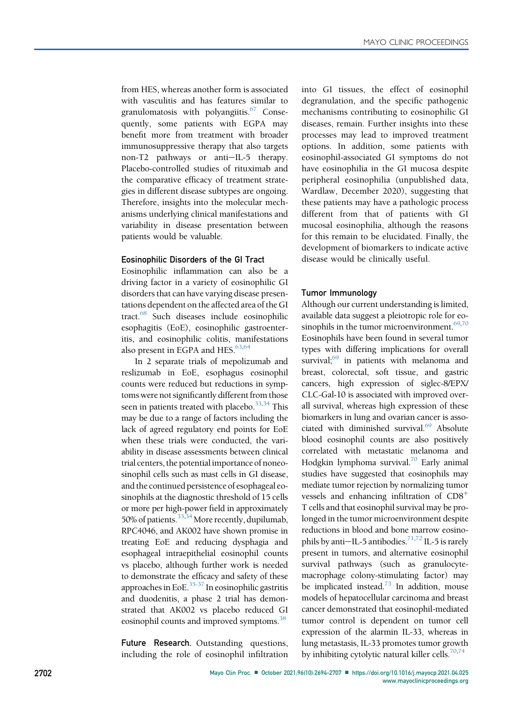from HES, whereas another form is associated with vasculitis and has features similar to granulomatosis with polyangiitis. $67$  Consequently, some patients with EGPA may benefit more from treatment with broader immunosuppressive therapy that also targets non-T2 pathways or anti-IL-5 therapy. Placebo-controlled studies of rituximab and the comparative efficacy of treatment strategies in different disease subtypes are ongoing. Therefore, insights into the molecular mechanisms underlying clinical manifestations and variability in disease presentation between patients would be valuable.

#### Eosinophilic Disorders of the GI Tract

Eosinophilic inflammation can also be a driving factor in a variety of eosinophilic GI disorders that can have varying disease presentations dependent on the affected area of the GI tract[.68](#page-12-26) Such diseases include eosinophilic esophagitis (EoE), eosinophilic gastroenteritis, and eosinophilic colitis, manifestations also present in EGPA and HES.<sup>63[,64](#page-12-22)</sup>

In 2 separate trials of mepolizumab and reslizumab in EoE, esophagus eosinophil counts were reduced but reductions in symptoms were not significantly different from those seen in patients treated with placebo.<sup>33[,34](#page-12-27)</sup> This may be due to a range of factors including the lack of agreed regulatory end points for EoE when these trials were conducted, the variability in disease assessments between clinical trial centers, the potentialimportance of noneosinophil cells such as mast cells in GI disease, and the continued persistence of esophageal eosinophils at the diagnostic threshold of 15 cells or more per high-power field in approximately 50% of patients.<sup>33[,34](#page-12-27)</sup> More recently, dupilumab, RPC4046, and AK002 have shown promise in treating EoE and reducing dysphagia and esophageal intraepithelial eosinophil counts vs placebo, although further work is needed to demonstrate the efficacy and safety of these approaches in EoE. $35-37$  In eosinophilic gastritis and duodenitis, a phase 2 trial has demonstrated that AK002 vs placebo reduced GI eosinophil counts and improved symptoms.<sup>[38](#page-12-1)</sup>

Future Research. Outstanding questions, including the role of eosinophil infiltration

into GI tissues, the effect of eosinophil degranulation, and the specific pathogenic mechanisms contributing to eosinophilic GI diseases, remain. Further insights into these processes may lead to improved treatment options. In addition, some patients with eosinophil-associated GI symptoms do not have eosinophilia in the GI mucosa despite peripheral eosinophilia (unpublished data, Wardlaw, December 2020), suggesting that these patients may have a pathologic process different from that of patients with GI mucosal eosinophilia, although the reasons for this remain to be elucidated. Finally, the development of biomarkers to indicate active disease would be clinically useful.

## Tumor Immunology

Although our current understanding is limited, available data suggest a pleiotropic role for eo-sinophils in the tumor microenvironment.<sup>[69](#page-12-29),[70](#page-12-30)</sup> Eosinophils have been found in several tumor types with differing implications for overall survival; $69$  in patients with melanoma and breast, colorectal, soft tissue, and gastric cancers, high expression of siglec-8/EPX/ CLC-Gal-10 is associated with improved overall survival, whereas high expression of these biomarkers in lung and ovarian cancer is associated with diminished survival.<sup>69</sup> Absolute blood eosinophil counts are also positively correlated with metastatic melanoma and Hodgkin lymphoma survival.<sup>70</sup> Early animal studies have suggested that eosinophils may mediate tumor rejection by normalizing tumor vessels and enhancing infiltration of  $CD8<sup>+</sup>$ T cells and that eosinophil survival may be prolonged in the tumor microenvironment despite reductions in blood and bone marrow eosino-phils by anti-IL-5 antibodies.<sup>71[,72](#page-12-32)</sup> IL-5 is rarely present in tumors, and alternative eosinophil survival pathways (such as granulocytemacrophage colony-stimulating factor) may be implicated instead.<sup>[73](#page-12-33)</sup> In addition, mouse models of hepatocellular carcinoma and breast cancer demonstrated that eosinophil-mediated tumor control is dependent on tumor cell expression of the alarmin IL-33, whereas in lung metastasis, IL-33 promotes tumor growth by inhibiting cytolytic natural killer cells.<sup>[70](#page-12-30),[74](#page-12-34)</sup>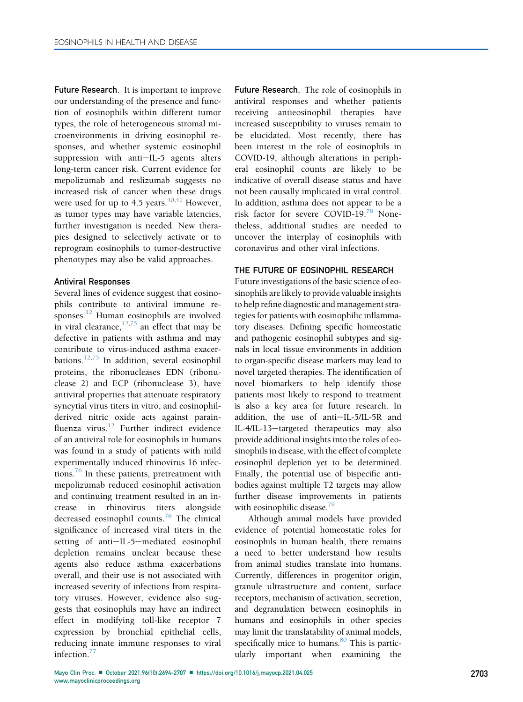**Future Research.** It is important to improve our understanding of the presence and function of eosinophils within different tumor types, the role of heterogeneous stromal microenvironments in driving eosinophil responses, and whether systemic eosinophil suppression with anti-IL-5 agents alters long-term cancer risk. Current evidence for mepolizumab and reslizumab suggests no increased risk of cancer when these drugs were used for up to 4.5 years. $40,41$  $40,41$  However, as tumor types may have variable latencies, further investigation is needed. New therapies designed to selectively activate or to reprogram eosinophils to tumor-destructive phenotypes may also be valid approaches.

## Antiviral Responses

Several lines of evidence suggest that eosinophils contribute to antiviral immune responses.[12](#page-11-11) Human eosinophils are involved in viral clearance, $12,75$  $12,75$  an effect that may be defective in patients with asthma and may contribute to virus-induced asthma exacer-bations.<sup>[12,](#page-11-11)[75](#page-13-0)</sup> In addition, several eosinophil proteins, the ribonucleases EDN (ribonuclease 2) and ECP (ribonuclease 3), have antiviral properties that attenuate respiratory syncytial virus titers in vitro, and eosinophilderived nitric oxide acts against parain-fluenza virus.<sup>[12](#page-11-11)</sup> Further indirect evidence of an antiviral role for eosinophils in humans was found in a study of patients with mild experimentally induced rhinovirus 16 infections.[76](#page-13-1) In these patients, pretreatment with mepolizumab reduced eosinophil activation and continuing treatment resulted in an increase in rhinovirus titers alongside decreased eosinophil counts.<sup>[76](#page-13-1)</sup> The clinical significance of increased viral titers in the setting of anti-IL-5-mediated eosinophil depletion remains unclear because these agents also reduce asthma exacerbations overall, and their use is not associated with increased severity of infections from respiratory viruses. However, evidence also suggests that eosinophils may have an indirect effect in modifying toll-like receptor 7 expression by bronchial epithelial cells, reducing innate immune responses to viral infection.<sup>[77](#page-13-2)</sup>

Future Research. The role of eosinophils in antiviral responses and whether patients receiving antieosinophil therapies have increased susceptibility to viruses remain to be elucidated. Most recently, there has been interest in the role of eosinophils in COVID-19, although alterations in peripheral eosinophil counts are likely to be indicative of overall disease status and have not been causally implicated in viral control. In addition, asthma does not appear to be a risk factor for severe COVID-19.[78](#page-13-3) Nonetheless, additional studies are needed to uncover the interplay of eosinophils with coronavirus and other viral infections.

## THE FUTURE OF EOSINOPHIL RESEARCH

Future investigations of the basic science of eosinophils are likely to provide valuable insights to help refine diagnostic and management strategies for patients with eosinophilic inflammatory diseases. Defining specific homeostatic and pathogenic eosinophil subtypes and signals in local tissue environments in addition to organ-specific disease markers may lead to novel targeted therapies. The identification of novel biomarkers to help identify those patients most likely to respond to treatment is also a key area for future research. In addition, the use of anti-IL-5/IL-5R and IL-4/IL-13-targeted therapeutics may also provide additional insights into the roles of eosinophils in disease, with the effect of complete eosinophil depletion yet to be determined. Finally, the potential use of bispecific antibodies against multiple T2 targets may allow further disease improvements in patients with eosinophilic disease.<sup>79</sup>

Although animal models have provided evidence of potential homeostatic roles for eosinophils in human health, there remains a need to better understand how results from animal studies translate into humans. Currently, differences in progenitor origin, granule ultrastructure and content, surface receptors, mechanism of activation, secretion, and degranulation between eosinophils in humans and eosinophils in other species may limit the translatability of animal models, specifically mice to humans.<sup>[80](#page-13-5)</sup> This is particularly important when examining the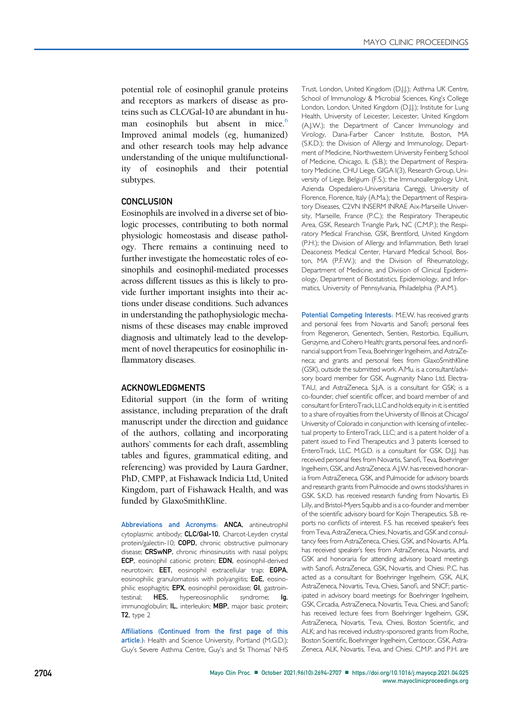potential role of eosinophil granule proteins and receptors as markers of disease as proteins such as CLC/Gal-10 are abundant in hu-man eosinophils but absent in mice.<sup>[6](#page-11-5)</sup> Improved animal models (eg, humanized) and other research tools may help advance understanding of the unique multifunctionality of eosinophils and their potential subtypes.

#### **CONCLUSION**

Eosinophils are involved in a diverse set of biologic processes, contributing to both normal physiologic homeostasis and disease pathology. There remains a continuing need to further investigate the homeostatic roles of eosinophils and eosinophil-mediated processes across different tissues as this is likely to provide further important insights into their actions under disease conditions. Such advances in understanding the pathophysiologic mechanisms of these diseases may enable improved diagnosis and ultimately lead to the development of novel therapeutics for eosinophilic inflammatory diseases.

#### ACKNOWLEDGMENTS

Editorial support (in the form of writing assistance, including preparation of the draft manuscript under the direction and guidance of the authors, collating and incorporating authors' comments for each draft, assembling tables and figures, grammatical editing, and referencing) was provided by Laura Gardner, PhD, CMPP, at Fishawack Indicia Ltd, United Kingdom, part of Fishawack Health, and was funded by GlaxoSmithKline.

Abbreviations and Acronyms: ANCA, antineutrophil cytoplasmic antibody; CLC/Gal-10, Charcot-Leyden crystal protein/galectin-10; COPD, chronic obstructive pulmonary disease; CRSwNP, chronic rhinosinusitis with nasal polyps; ECP, eosinophil cationic protein; EDN, eosinophil-derived neurotoxin; EET, eosinophil extracellular trap; EGPA, eosinophilic granulomatosis with polyangiitis; EoE, eosinophilic esophagitis; EPX, eosinophil peroxidase; GI, gastrointestinal; HES, hypereosinophilic syndrome; Ig, immunoglobulin; IL, interleukin; MBP, major basic protein;  $T2$ , type  $2$ 

Affiliations (Continued from the first page of this article.): Health and Science University, Portland (M.G.D.); Guy's Severe Asthma Centre, Guy's and St Thomas' NHS

Trust, London, United Kingdom (D.J.J.); Asthma UK Centre, School of Immunology & Microbial Sciences, King's College London, London, United Kingdom (D.J.J.); Institute for Lung Health, University of Leicester, Leicester, United Kingdom (A.J.W.); the Department of Cancer Immunology and Virology, Dana-Farber Cancer Institute, Boston, MA (S.K.D.); the Division of Allergy and Immunology, Department of Medicine, Northwestern University Feinberg School of Medicine, Chicago, IL (S.B.); the Department of Respiratory Medicine, CHU Liege, GIGA I(3), Research Group, University of Liege, Belgium (F.S.); the Immunoallergology Unit, Azienda Ospedaliero-Universitaria Careggi, University of Florence, Florence, Italy (A.Ma.); the Department of Respiratory Diseases, C2VN INSERM INRAE Aix-Marseille University, Marseille, France (P.C.); the Respiratory Therapeutic Area, GSK, Research Triangle Park, NC (C.M.P.); the Respiratory Medical Franchise, GSK, Brentford, United Kingdom (P.H.); the Division of Allergy and Inflammation, Beth Israel Deaconess Medical Center, Harvard Medical School, Boston, MA (P.F.W.); and the Division of Rheumatology, Department of Medicine, and Division of Clinical Epidemiology, Department of Biostatistics, Epidemiology, and Informatics, University of Pennsylvania, Philadelphia (P.A.M.).

Potential Competing Interests: M.E.W. has received grants and personal fees from Novartis and Sanofi; personal fees from Regeneron, Genentech, Sentien, Restorbio, Equillium, Genzyme, and Cohero Health; grants, personal fees, and nonfinancial support from Teva, Boehringer Ingelheim, and AstraZeneca; and grants and personal fees from GlaxoSmithKline (GSK), outside the submitted work. A.Mu. is a consultant/advisory board member for GSK, Augmanity Nano Ltd, Electra-TAU, and AstraZeneca. S.J.A. is a consultant for GSK; is a co-founder, chief scientific officer, and board member of and consultant for EnteroTrack, LLC and holds equity in it; is entitled to a share of royalties from the University of Illinois at Chicago/ University of Colorado in conjunction with licensing of intellectual property to EnteroTrack, LLC; and is a patent holder of a patent issued to Find Therapeutics and 3 patents licensed to EnteroTrack, LLC. M.G.D. is a consultant for GSK. D.J.J. has received personal fees from Novartis, Sanofi, Teva, Boehringer Ingelheim, GSK, and AstraZeneca. A.J.W. has received honoraria from AstraZeneca, GSK, and Pulmocide for advisory boards and research grants from Pulmocide and owns stocks/shares in GSK. S.K.D. has received research funding from Novartis, Eli Lilly, and Bristol-Myers Squibb and is a co-founder and member of the scientific advisory board for Kojin Therapeutics. S.B. reports no conflicts of interest. F.S. has received speaker's fees from Teva, AstraZeneca, Chiesi, Novartis, and GSK and consultancy fees from AstraZeneca, Chiesi, GSK, and Novartis. A.Ma. has received speaker's fees from AstraZeneca, Novartis, and GSK and honoraria for attending advisory board meetings with Sanofi, AstraZeneca, GSK, Novartis, and Chiesi. P.C. has acted as a consultant for Boehringer Ingelheim, GSK, ALK, AstraZeneca, Novartis, Teva, Chiesi, Sanofi, and SNCF; participated in advisory board meetings for Boehringer Ingelheim, GSK, Circadia, AstraZeneca, Novartis, Teva, Chiesi, and Sanofi; has received lecture fees from Boehringer Ingelheim, GSK, AstraZeneca, Novartis, Teva, Chiesi, Boston Scientific, and ALK; and has received industry-sponsored grants from Roche, Boston Scientific, Boehringer Ingelheim, Centocor, GSK, Astra-Zeneca, ALK, Novartis, Teva, and Chiesi. C.M.P. and P.H. are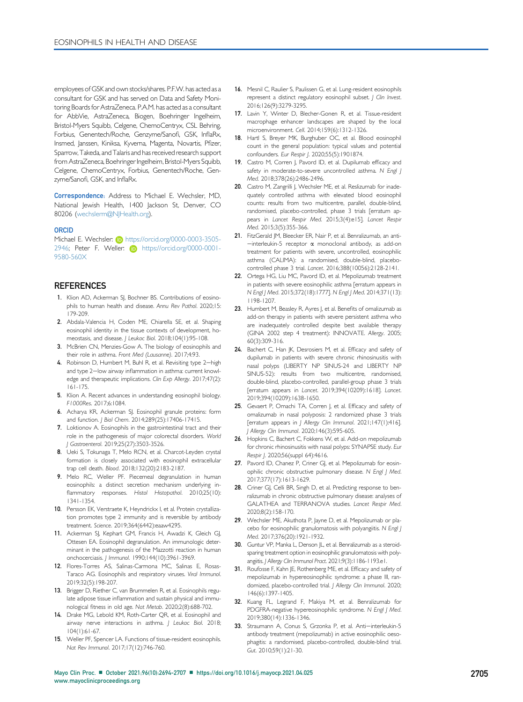employees of GSK and own stocks/shares. P.F.W. has acted as a consultant for GSK and has served on Data and Safety Monitoring Boards for AstraZeneca. P.A.M. has acted as a consultant for AbbVie, AstraZeneca, Biogen, Boehringer Ingelheim, Bristol-Myers Squibb, Celgene, ChemoCentryx, CSL Behring, Forbius, Genentech/Roche, Genzyme/Sanofi, GSK, InflaRx, Insmed, Janssen, Kiniksa, Kyverna, Magenta, Novartis, Pfizer, Sparrow, Takeda, and Talaris and has received research support from AstraZeneca, Boehringer Ingelheim, Bristol-Myers Squibb, Celgene, ChemoCentryx, Forbius, Genentech/Roche, Genzyme/Sanofi, GSK, and InflaRx.

Correspondence: Address to Michael E. Wechsler, MD, National Jewish Health, 1400 Jackson St, Denver, CO 80206 ([wechslerm@NJHealth.org\)](mailto:wechslerm@NJHealth.org).

#### **ORCID**

Michael E. Wechsler: **iD** [https://orcid.org/0000-0003-3505-](https://orcid.org/0000-0003-3505-2946) [2946; Peter F. Weller:](https://orcid.org/0000-0003-3505-2946) **iD** [https://orcid.org/0000-0001-](https://orcid.org/0000-0001-9580-560X) [9580-560X](https://orcid.org/0000-0001-9580-560X)

#### **REFERENCES**

- <span id="page-11-0"></span>1. Klion AD, Ackerman SJ, Bochner BS. Contributions of eosinophils to human health and disease. Annu Rev Pathol. 2020;15: 179-209.
- <span id="page-11-1"></span>2. Abdala-Valencia H, Coden ME, Chiarella SE, et al. Shaping eosinophil identity in the tissue contexts of development, homeostasis, and disease. J Leukoc Biol. 2018;104(1):95-108.
- <span id="page-11-2"></span>3. McBrien CN, Menzies-Gow A. The biology of eosinophils and their role in asthma. Front Med (Lausanne). 2017;4:93.
- <span id="page-11-3"></span>4. Robinson D, Humbert M, Buhl R, et al. Revisiting type 2-high and type 2-low airway inflammation in asthma: current knowledge and therapeutic implications. Clin Exp Allergy. 2017;47(2): 161-175.
- <span id="page-11-4"></span>5. Klion A. Recent advances in understanding eosinophil biology. F1000Res. 2017;6:1084.
- <span id="page-11-5"></span>6. Acharya KR, Ackerman SJ. Eosinophil granule proteins: form and function. | Biol Chem. 2014;289(25):17406-17415.
- <span id="page-11-6"></span>7. Loktionov A. Eosinophils in the gastrointestinal tract and their role in the pathogenesis of major colorectal disorders. World J Gastroenterol. 2019;25(27):3503-3526.
- <span id="page-11-7"></span>8. Ueki S, Tokunaga T, Melo RCN, et al. Charcot-Leyden crystal formation is closely associated with eosinophil extracellular trap cell death. Blood. 2018;132(20):2183-2187.
- <span id="page-11-8"></span>9. Melo RC, Weller PF. Piecemeal degranulation in human eosinophils: a distinct secretion mechanism underlying inflammatory responses. Histol Histopathol. 2010;25(10): 1341-1354.
- <span id="page-11-9"></span>10. Persson EK, Verstraete K, Heyndrickx I, et al. Protein crystallization promotes type 2 immunity and is reversible by antibody treatment. Science. 2019;364(6442):eaaw4295.
- <span id="page-11-10"></span>11. Ackerman SJ, Kephart GM, Francis H, Awadzi K, Gleich GJ, Ottesen EA. Eosinophil degranulation. An immunologic determinant in the pathogenesis of the Mazzotti reaction in human onchocerciasis. J Immunol. 1990;144(10):3961-3969.
- <span id="page-11-11"></span>12. Flores-Torres AS, Salinas-Carmona MC, Salinas E, Rosas-Taraco AG. Eosinophils and respiratory viruses. Viral Immunol. 2019;32(5):198-207.
- <span id="page-11-12"></span>13. Brigger D, Riether C, van Brummelen R, et al. Eosinophils regulate adipose tissue inflammation and sustain physical and immunological fitness in old age. Nat Metab. 2020;2(8):688-702.
- <span id="page-11-22"></span>14. Drake MG, Lebold KM, Roth-Carter QR, et al. Eosinophil and airway nerve interactions in asthma. J Leukoc Biol. 2018; 104(1):61-67.
- 15. Weller PF, Spencer LA. Functions of tissue-resident eosinophils. Nat Rev Immunol. 2017;17(12):746-760.
- <span id="page-11-15"></span><span id="page-11-14"></span><span id="page-11-13"></span>16. Mesnil C, Raulier S, Paulissen G, et al. Lung-resident eosinophils represent a distinct regulatory eosinophil subset. J Clin Invest. 2016;126(9):3279-3295.
- <span id="page-11-16"></span>17. Lavin Y, Winter D, Blecher-Gonen R, et al. Tissue-resident macrophage enhancer landscapes are shaped by the local microenvironment. Cell. 2014;159(6):1312-1326.
- <span id="page-11-17"></span>18. Hartl S, Breyer MK, Burghuber OC, et al. Blood eosinophil count in the general population: typical values and potential confounders. Eur Respir J. 2020;55(5):1901874.
- <span id="page-11-18"></span>19. Castro M, Corren J, Pavord ID, et al. Dupilumab efficacy and safety in moderate-to-severe uncontrolled asthma. N Engl J Med. 2018;378(26):2486-2496.
- 20. Castro M, Zangrilli J, Wechsler ME, et al. Reslizumab for inadequately controlled asthma with elevated blood eosinophil counts: results from two multicentre, parallel, double-blind, randomised, placebo-controlled, phase 3 trials [erratum appears in Lancet Respir Med. 2015;3(4):e15]. Lancet Respir Med. 2015;3(5):355-366.
- 21. FitzGerald JM, Bleecker ER, Nair P, et al. Benralizumab, an anti- $=$ interleukin-5 receptor  $\alpha$  monoclonal antibody, as add-on treatment for patients with severe, uncontrolled, eosinophilic asthma (CALIMA): a randomised, double-blind, placebocontrolled phase 3 trial. Lancet. 2016;388(10056):2128-2141.
- 22. Ortega HG, Liu MC, Pavord ID, et al. Mepolizumab treatment in patients with severe eosinophilic asthma [erratum appears in N Engl J Med. 2015;372(18):1777]. N Engl J Med. 2014;371(13): 1198-1207.
- 23. Humbert M, Beasley R, Ayres J, et al. Benefits of omalizumab as add-on therapy in patients with severe persistent asthma who are inadequately controlled despite best available therapy (GINA 2002 step 4 treatment): INNOVATE. Allergy. 2005; 60(3):309-316.
- <span id="page-11-20"></span>24. Bachert C, Han JK, Desrosiers M, et al. Efficacy and safety of dupilumab in patients with severe chronic rhinosinusitis with nasal polyps (LIBERTY NP SINUS-24 and LIBERTY NP SINUS-52): results from two multicentre, randomised, double-blind, placebo-controlled, parallel-group phase 3 trials [erratum appears in Lancet. 2019;394(10209):1618]. Lancet. 2019;394(10209):1638-1650.
- <span id="page-11-19"></span>25. Gevaert P, Omachi TA, Corren J, et al. Efficacy and safety of omalizumab in nasal polyposis: 2 randomized phase 3 trials [erratum appears in J Allergy Clin Immunol. 2021;147(1):416]. J Allergy Clin Immunol. 2020;146(3):595-605.
- <span id="page-11-23"></span>26. Hopkins C, Bachert C, Fokkens W, et al. Add-on mepolizumab for chronic rhinosinusitis with nasal polyps: SYNAPSE study. Eur Respir J. 2020;56(suppl 64):4616.
- <span id="page-11-21"></span>27. Pavord ID, Chanez P, Criner GJ, et al. Mepolizumab for eosinophilic chronic obstructive pulmonary disease. N Engl J Med. 2017;377(17):1613-1629.
- <span id="page-11-24"></span>28. Criner GJ, Celli BR, Singh D, et al. Predicting response to benralizumab in chronic obstructive pulmonary disease: analyses of GALATHEA and TERRANOVA studies. Lancet Respir Med. 2020;8(2):158-170.
- <span id="page-11-25"></span>29. Wechsler ME, Akuthota P, Jayne D, et al. Mepolizumab or placebo for eosinophilic granulomatosis with polyangiitis. N Engl J Med. 2017;376(20):1921-1932.
- <span id="page-11-26"></span>30. Guntur VP, Manka L, Denson JL, et al. Benralizumab as a steroidsparing treatment option in eosinophilic granulomatosis with polyangiitis. J Allergy Clin Immunol Pract. 2021;9(3):1186-1193.e1.
- <span id="page-11-27"></span>31. Roufosse F, Kahn JE, Rothenberg ME, et al. Efficacy and safety of mepolizumab in hypereosinophilic syndrome: a phase III, randomized, placebo-controlled trial. J Allergy Clin Immunol. 2020; 146(6):1397-1405.
- <span id="page-11-28"></span>32. Kuang FL, Legrand F, Makiya M, et al. Benralizumab for PDGFRA-negative hypereosinophilic syndrome. N Engl J Med. 2019;380(14):1336-1346.
- <span id="page-11-29"></span>33. Straumann A, Conus S, Grzonka P, et al. Anti-interleukin-5 antibody treatment (mepolizumab) in active eosinophilic oesophagitis: a randomised, placebo-controlled, double-blind trial. Gut. 2010;59(1):21-30.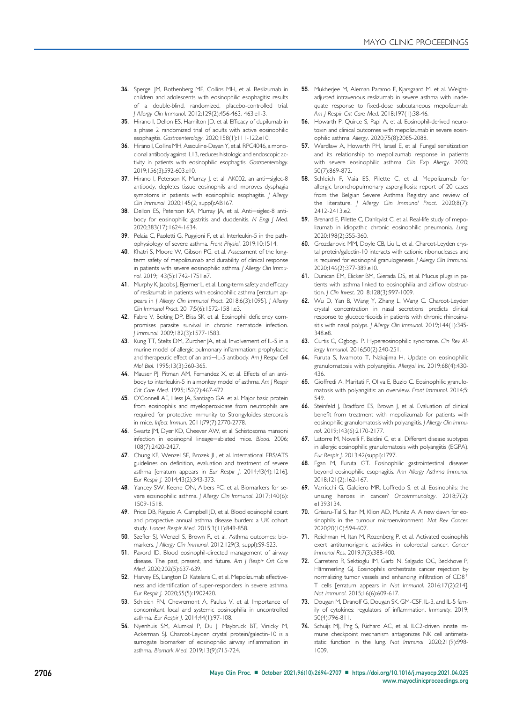- <span id="page-12-27"></span>34. Spergel JM, Rothenberg ME, Collins MH, et al. Reslizumab in children and adolescents with eosinophilic esophagitis: results of a double-blind, randomized, placebo-controlled trial. J Allergy Clin Immunol. 2012;129(2):456-463. 463.e1-3.
- <span id="page-12-28"></span>35. Hirano I, Dellon ES, Hamilton JD, et al. Efficacy of dupilumab in a phase 2 randomized trial of adults with active eosinophilic esophagitis. Gastroenterology. 2020;158(1):111-122.e10.
- 36. Hirano I, Collins MH, Assouline-Dayan Y, et al. RPC4046, a monoclonal antibody against IL13, reduces histologic and endoscopic activity in patients with eosinophilic esophagitis. Gastroenterology. 2019;156(3):592-603.e10.
- 37. Hirano I, Peterson K, Murray J, et al. AK002, an anti-siglec-8 antibody, depletes tissue eosinophils and improves dysphagia symptoms in patients with eosinophilic esophagitis. J Allergy Clin Immunol. 2020;145(2, suppl):AB167.
- <span id="page-12-1"></span>38. Dellon ES, Peterson KA, Murray JA, et al. Anti-siglec-8 antibody for eosinophilic gastritis and duodenitis. N Engl J Med. 2020;383(17):1624-1634.
- <span id="page-12-0"></span>39. Pelaia C, Paoletti G, Puggioni F, et al. Interleukin-5 in the pathophysiology of severe asthma. Front Physiol. 2019;10:1514.
- <span id="page-12-2"></span>40. Khatri S, Moore W, Gibson PG, et al. Assessment of the longterm safety of mepolizumab and durability of clinical response in patients with severe eosinophilic asthma. J Allergy Clin Immunol. 2019;143(5):1742-1751.e7.
- <span id="page-12-3"></span>41. Murphy K, Jacobs J, Bjermer L, et al. Long-term safety and efficacy of reslizumab in patients with eosinophilic asthma [erratum appears in J Allergy Clin Immunol Pract. 2018;6(3):1095]. J Allergy Clin Immunol Pract. 2017;5(6):1572-1581.e3.
- <span id="page-12-4"></span>42. Fabre V, Beiting DP, Bliss SK, et al. Eosinophil deficiency compromises parasite survival in chronic nematode infection. J Immunol. 2009;182(3):1577-1583.
- 43. Kung TT, Stelts DM, Zurcher JA, et al. Involvement of IL-5 in a murine model of allergic pulmonary inflammation: prophylactic and therapeutic effect of an anti-IL-5 antibody. Am J Respir Cell Mol Biol. 1995;13(3):360-365.
- 44. Mauser PJ, Pitman AM, Fernandez X, et al. Effects of an antibody to interleukin-5 in a monkey model of asthma. Am | Respir Crit Care Med. 1995;152(2):467-472.
- 45. O'Connell AE, Hess JA, Santiago GA, et al. Major basic protein from eosinophils and myeloperoxidase from neutrophils are required for protective immunity to Strongyloides stercoralis in mice. Infect Immun. 2011;79(7):2770-2778.
- 46. Swartz JM, Dyer KD, Cheever AW, et al. Schistosoma mansoni infection in eosinophil lineage-ablated mice. Blood. 2006; 108(7):2420-2427.
- <span id="page-12-5"></span>47. Chung KF, Wenzel SE, Brozek JL, et al. International ERS/ATS guidelines on definition, evaluation and treatment of severe asthma [erratum appears in Eur Respir J. 2014;43(4):1216]. Eur Respir J. 2014;43(2):343-373.
- <span id="page-12-6"></span>48. Yancey SW, Keene ON, Albers FC, et al. Biomarkers for severe eosinophilic asthma. J Allergy Clin Immunol. 2017;140(6): 1509-1518.
- <span id="page-12-7"></span>49. Price DB, Rigazio A, Campbell JD, et al. Blood eosinophil count and prospective annual asthma disease burden: a UK cohort study. Lancet Respir Med. 2015;3(11):849-858.
- <span id="page-12-8"></span>50. Szefler SI, Wenzel S, Brown R, et al. Asthma outcomes: biomarkers. | Allergy Clin Immunol. 2012;129(3, suppl):S9-S23.
- <span id="page-12-9"></span>51. Pavord ID. Blood eosinophil-directed management of airway disease. The past, present, and future. Am J Respir Crit Care Med. 2020;202(5):637-639.
- <span id="page-12-10"></span>52. Harvey ES, Langton D, Katelaris C, et al. Mepolizumab effectiveness and identification of super-responders in severe asthma. Eur Respir J. 2020;55(5):1902420.
- <span id="page-12-11"></span>53. Schleich FN, Chevremont A, Paulus V, et al. Importance of concomitant local and systemic eosinophilia in uncontrolled asthma. Eur Respir J. 2014;44(1):97-108.
- <span id="page-12-12"></span>54. Nyenhuis SM, Alumkal P, Du J, Maybruck BT, Vinicky M, Ackerman SJ. Charcot-Leyden crystal protein/galectin-10 is a surrogate biomarker of eosinophilic airway inflammation in asthma. Biomark Med. 2019;13(9):715-724.
- <span id="page-12-13"></span>55. Mukherjee M, Aleman Paramo F, Kjarsgaard M, et al. Weightadjusted intravenous reslizumab in severe asthma with inadequate response to fixed-dose subcutaneous mepolizumab. Am J Respir Crit Care Med. 2018;197(1):38-46.
- <span id="page-12-14"></span>56. Howarth P, Quirce S, Papi A, et al. Eosinophil-derived neurotoxin and clinical outcomes with mepolizumab in severe eosinophilic asthma. Allergy. 2020;75(8):2085-2088.
- <span id="page-12-15"></span>57. Wardlaw A, Howarth PH, Israel E, et al. Fungal sensitization and its relationship to mepolizumab response in patients with severe eosinophilic asthma. Clin Exp Allergy. 2020; 50(7):869-872.
- <span id="page-12-16"></span>58. Schleich F, Vaia ES, Pilette C, et al. Mepolizumab for allergic bronchopulmonary aspergillosis: report of 20 cases from the Belgian Severe Asthma Registry and review of the literature. J Allergy Clin Immunol Pract. 2020;8(7): 2412-2413.e2.
- <span id="page-12-17"></span>59. Brenard E, Pilette C, Dahlqvist C, et al. Real-life study of mepolizumab in idiopathic chronic eosinophilic pneumonia. Lung. 2020;198(2):355-360.
- <span id="page-12-18"></span>60. Grozdanovic MM, Doyle CB, Liu L, et al. Charcot-Leyden crystal protein/galectin-10 interacts with cationic ribonucleases and is required for eosinophil granulogenesis. J Allergy Clin Immunol. 2020;146(2):377-389.e10.
- <span id="page-12-19"></span>61. Dunican EM, Elicker BM, Gierada DS, et al. Mucus plugs in patients with asthma linked to eosinophilia and airflow obstruction. J Clin Invest. 2018;128(3):997-1009.
- <span id="page-12-20"></span>62. Wu D, Yan B, Wang Y, Zhang L, Wang C. Charcot-Leyden crystal concentration in nasal secretions predicts clinical response to glucocorticoids in patients with chronic rhinosinusitis with nasal polyps. J Allergy Clin Immunol. 2019;144(1):345-348.e8.
- <span id="page-12-21"></span>63. Curtis C, Ogbogu P. Hypereosinophilic syndrome. Clin Rev Allergy Immunol. 2016;50(2):240-251.
- <span id="page-12-22"></span>64. Furuta S, Iwamoto T, Nakajima H. Update on eosinophilic granulomatosis with polyangiitis. Allergol Int. 2019;68(4):430- 436.
- <span id="page-12-23"></span>65. Gioffredi A, Maritati F, Oliva E, Buzio C. Eosinophilic granulomatosis with polyangiitis: an overview. Front Immunol. 2014;5: 549.
- <span id="page-12-24"></span>66. Steinfeld J, Bradford ES, Brown J, et al. Evaluation of clinical benefit from treatment with mepolizumab for patients with eosinophilic granulomatosis with polyangiitis. J Allergy Clin Immunol. 2019;143(6):2170-2177.
- <span id="page-12-25"></span>67. Latorre M, Novelli F, Baldini C, et al. Different disease subtypes in allergic eosinophilic granulomatosis with polyangiitis (EGPA). Eur Respir J. 2013;42(suppl):1797.
- <span id="page-12-26"></span>68. Egan M, Furuta GT. Eosinophilic gastrointestinal diseases beyond eosinophilic esophagitis. Ann Allergy Asthma Immunol. 2018;121(2):162-167.
- <span id="page-12-29"></span>69. Varricchi G, Galdiero MR, Loffredo S, et al. Eosinophils: the unsung heroes in cancer? Oncoimmunology. 2018;7(2): e1393134.
- <span id="page-12-30"></span>70. Grisaru-Tal S, Itan M, Klion AD, Munitz A. A new dawn for eosinophils in the tumour microenvironment. Nat Rev Cancer. 2020;20(10):594-607.
- <span id="page-12-31"></span>71. Reichman H, Itan M, Rozenberg P, et al. Activated eosinophils exert antitumorigenic activities in colorectal cancer. Cancer Immunol Res. 2019;7(3):388-400.
- <span id="page-12-32"></span>72. Carretero R, Sektioglu IM, Garbi N, Salgado OC, Beckhove P, Hämmerling GJ. Eosinophils orchestrate cancer rejection by normalizing tumor vessels and enhancing infiltration of  $CD8^+$ T cells [erratum appears in Nat Immunol. 2016;17(2):214]. Nat Immunol. 2015;16(6):609-617.
- <span id="page-12-33"></span>73. Dougan M, Dranoff G, Dougan SK. GM-CSF, IL-3, and IL-5 family of cytokines: regulators of inflammation. Immunity. 2019; 50(4):796-811.
- <span id="page-12-34"></span>74. Schuijs MJ, Png S, Richard AC, et al. ILC2-driven innate immune checkpoint mechanism antagonizes NK cell antimetastatic function in the lung. Nat Immunol. 2020;21(9):998- 1009.